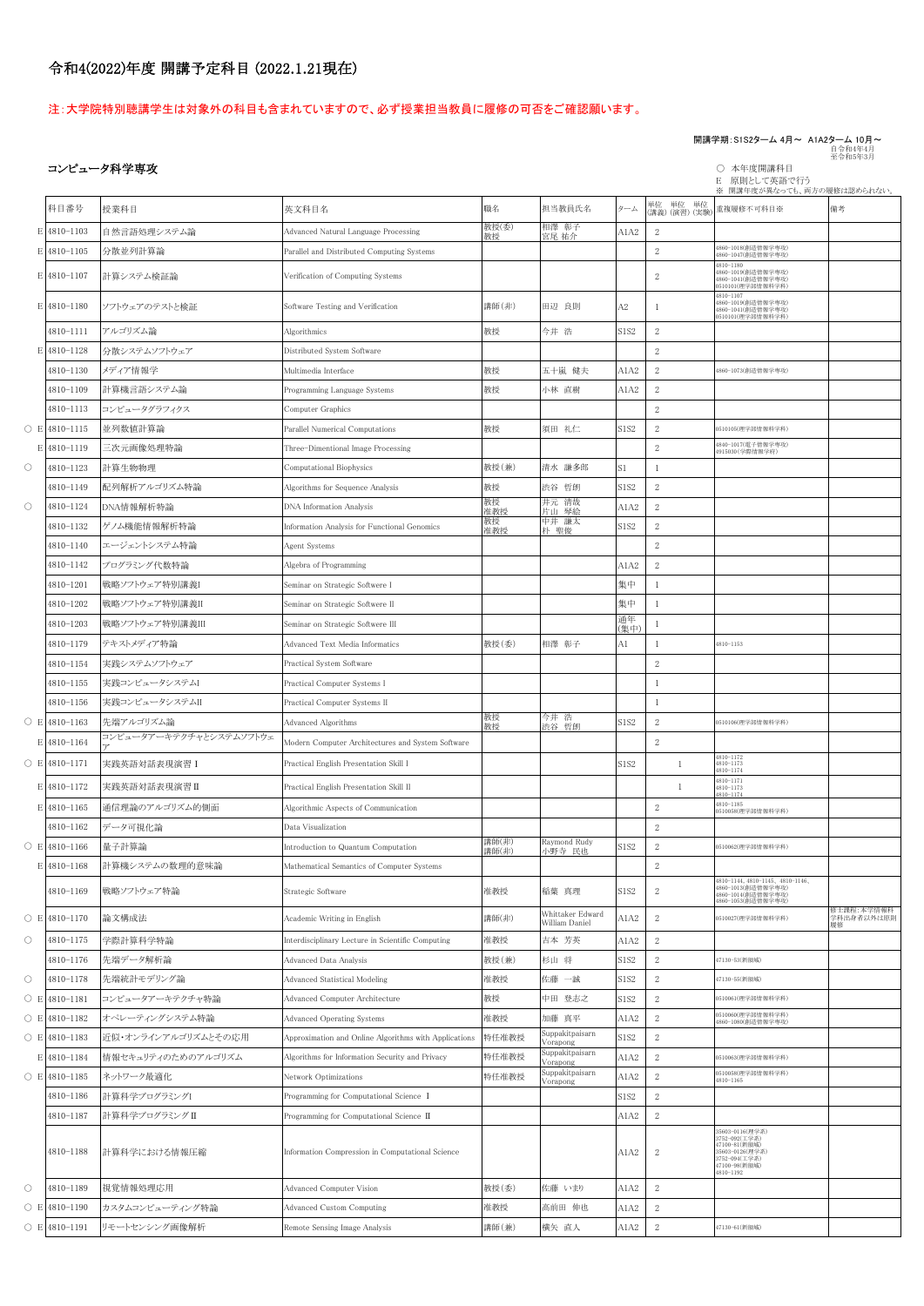# 令和4(2022)年度 開講予定科目 (2022.1.21現在)

# 注:大学院特別聴講学生は対象外の科目も含まれていますので、必ず授業担当教員に履修の可否をご確認願います。

# 開講学期:S1S2ターム 4月~ A1A2ターム 10月~<br>自令和4年4月<br>至令和5年3月

# コンピュータ科学専攻 ついろん アンディスク こうしょう こうしょう こうしょう こうしゅう こうしゅう こうしゅう あいじょう あいじょう 本年度開講科目

E 原則として英語で行う

※ 開講年度が異なっても、両方の履修は認められない。

|                     | 科目番号                | 授業科目                    | 英文科目名                                                 | 職名             | 担当教員氏名                             | ターム        | 単位 単位 単位<br>(講義) (演習) (実験) | 重複履修不可科目※                                                                                                           | 備考                             |
|---------------------|---------------------|-------------------------|-------------------------------------------------------|----------------|------------------------------------|------------|----------------------------|---------------------------------------------------------------------------------------------------------------------|--------------------------------|
|                     | E 4810-1103         | 自然言語処理システム論             | Advanced Natural Language Processing                  | 教授(委)<br>教授    | 相澤 彰子<br>宮尾 祐介                     | A1A2       | 2                          |                                                                                                                     |                                |
|                     | E 4810-1105         | 分散並列計算論                 | Parallel and Distributed Computing Systems            |                |                                    |            | $\boldsymbol{2}$           | 4860-1018(創造情報学専攻)<br>4860-1047(創造情報学専攻)                                                                            |                                |
|                     | E 4810-1107         | 計算システム検証論               | Verification of Computing Systems                     |                |                                    |            | 2                          | 4810-1180<br>4860-1019(創造情報学専攻)<br>4860-1041(創造情報学専攻)<br>0510101(理学部情報科学科)                                          |                                |
|                     | E 4810-1180         | ソフトウェアのテストと検証           | Software Testing and Verification                     | 講師(非)          | 田辺 良則                              | A2         |                            | 4810-1107<br>4860-1019(創造情報学専攻)<br>4860-1041(創造情報学専攻)<br>0510101(理学部情報科学科)                                          |                                |
|                     | 4810-1111           | アルゴリズム論                 | Algorithmics                                          | 教授             | 今井 浩                               | S1S2       | $\mathbf{2}$               |                                                                                                                     |                                |
| E.                  | 4810-1128           | 分散システムソフトウェア            | Distributed System Software                           |                |                                    |            | $\overline{2}$             |                                                                                                                     |                                |
|                     | 4810-1130           | メディア情報学                 | Multimedia Interface                                  | 教授             | 五十嵐 健夫                             | A1A2       | 2                          | 4860-1073(創造情報学専攻)                                                                                                  |                                |
|                     | 4810-1109           | 計算機言語システム論              | Programming Language Systems                          | 教授             | 小林 直樹                              | A1A2       | $\boldsymbol{2}$           |                                                                                                                     |                                |
|                     | 4810-1113           | コンピュータグラフィクス            | Computer Graphics                                     |                |                                    |            | $\mathbf{2}$               |                                                                                                                     |                                |
|                     | $O$ E 4810-1115     | 並列数値計算論                 | Parallel Numerical Computations                       | 教授             | 須田 礼仁                              | S1S2       | $\boldsymbol{2}$           | 0510105(理学部情報科学科)                                                                                                   |                                |
|                     | E 4810-1119         | 三次元画像処理特論               | Three-Dimentional Image Processing                    |                |                                    |            | $\mathbf{2}$               | 4840-1017(電子情報学専攻)<br>4915030 (学際情報学府)                                                                              |                                |
| $\circ$             | 4810-1123           | 計算生物物理                  | Computational Biophysics                              | 教授(兼)          | 清水 謙多郎                             | S1         | 1                          |                                                                                                                     |                                |
|                     | 4810-1149           | 配列解析アルゴリズム特論            | Algorithms for Sequence Analysis                      | 教授             | 渋谷 哲朗                              | S1S2       | $\,2$                      |                                                                                                                     |                                |
| $\circlearrowright$ | 4810-1124           | DNA情報解析特論               | <b>DNA</b> Information Analysis                       | 教授<br>准教授      | 井元 清哉<br>片山 琴絵                     | A1A2       | $\mathbf{2}$               |                                                                                                                     |                                |
|                     | 4810-1132           | ゲノム機能情報解析特論             | Information Analysis for Functional Genomics          | 教授<br>准教授      | 中井 謙太<br>朴 聖俊                      | S1S2       | $\overline{2}$             |                                                                                                                     |                                |
|                     | 4810-1140           | エージェントシステム特論            | Agent Systems                                         |                |                                    |            | $\overline{2}$             |                                                                                                                     |                                |
|                     | 4810-1142           | プログラミング代数特論             | Algebra of Programming                                |                |                                    | A1A2       | 2                          |                                                                                                                     |                                |
|                     | 4810-1201           | 戦略ソフトウェア特別講義I           | Seminar on Strategic Softwere I                       |                |                                    | 集中         | $\mathbf{1}$               |                                                                                                                     |                                |
|                     | 4810-1202           | 戦略ソフトウェア特別講義Ⅱ           | Seminar on Strategic Softwere II                      |                |                                    | 集中         | $\mathbf{1}$               |                                                                                                                     |                                |
|                     | 4810-1203           | 戦略ソフトウェア特別講義Ⅲ           | Seminar on Strategic Softwere III                     |                |                                    | 通年<br>(集中) |                            |                                                                                                                     |                                |
|                     | 4810-1179           | テキストメディア特論              | Advanced Text Media Informatics                       | 教授(委)          | 相澤 彰子                              | A1         | $\mathbf{1}$               | 4810-1153                                                                                                           |                                |
|                     | 4810-1154           | 実践システムソフトウェア            | Practical System Software                             |                |                                    |            | $\overline{2}$             |                                                                                                                     |                                |
|                     | 4810-1155           | 実践コンピュータシステム            | Practical Computer Systems I                          |                |                                    |            | 1                          |                                                                                                                     |                                |
|                     | 4810-1156           | 実践コンピュータシステムII          | Practical Computer Systems II                         |                |                                    |            | 1                          |                                                                                                                     |                                |
|                     | ○ E 4810-1163       | 先端アルゴリズム論               | Advanced Algorithms                                   | 教授<br>教授       | 今井 浩<br>渋谷 哲朗                      | S1S2       | $\overline{2}$             | 0510106(理学部情報科学科)                                                                                                   |                                |
|                     | E 4810-1164         | コンピュータアーキテクチャとシステムソフトウェ | Modern Computer Architectures and System Software     |                |                                    |            | $\overline{2}$             |                                                                                                                     |                                |
|                     | $O$ E 4810-1171     | 実践英語対話表現演習 I            | Practical English Presentation Skill I                |                |                                    | S1S2       | -1                         | 4810-1172<br>4810-1173<br>4810-1174                                                                                 |                                |
|                     | E 4810-1172         | 実践英語対話表現演習 II           | Practical English Presentation Skill II               |                |                                    |            | -1                         | 4810-1171<br>4810-1173<br>4810-1174                                                                                 |                                |
|                     | E 4810-1165         | 通信理論のアルゴリズム的側面          | Algorithmic Aspects of Communication                  |                |                                    |            | $\overline{2}$             | 4810-1185<br>0510058(理学部情報科学科)                                                                                      |                                |
|                     | 4810-1162           | データ可視化論                 | Data Visualization                                    |                |                                    |            | $\overline{2}$             |                                                                                                                     |                                |
|                     | $O$ E 4810-1166     | 量子計算論                   | Introduction to Quantum Computation                   | 講師(非)<br>講師(非) | Raymond Rudy<br>小野寺 民也             | S1S2       | $\,2$                      | 0510062(理学部情報科学科)                                                                                                   |                                |
|                     | E 4810-1168         | 計算機システムの数理的意味論          | Mathematical Semantics of Computer Systems            |                |                                    |            | $\overline{2}$             |                                                                                                                     |                                |
|                     | 4810-1169           | 戦略ソフトウェア特論              | Strategic Software                                    | 准教授            | 稲葉 真理                              | S1S2       | 2                          | 4810-1144, 4810-1145, 4810-1146,<br>4860-1013(創造情報学専攻)<br>4860-1014(創造情報学専攻)<br>4860-1053(創造情報学専攻)                  |                                |
|                     | $O$ E 4810-1170     | 論文構成法                   | Academic Writing in English                           | 講師(非)          | Whittaker Edward<br>William Daniel | A1A2       | $\overline{2}$             | 0510027(理学部情報科学科)                                                                                                   | 修士課程:本学情報科<br>学科出身者以外は原則<br>履修 |
| $\circ$             | 4810-1175           | 学際計算科学特論                | Interdisciplinary Lecture in Scientific Computing     | 准教授            | 吉本 芳英                              | A1A2       | $\overline{2}$             |                                                                                                                     |                                |
|                     | 4810-1176           | 先端データ解析論                | Advanced Data Analysis                                | 教授(兼)          | 杉山 将                               | S1S2       | $\overline{2}$             | 47130-53(新領域)                                                                                                       |                                |
| $\bigcirc$          | 4810-1178           | 先端統計モデリング論              | <b>Advanced Statistical Modeling</b>                  | 准教授            | 佐藤 一誠                              | S1S2       | $\overline{2}$             | 47130-55(新領域)                                                                                                       |                                |
|                     | ○ E 4810-1181       | コンピュータアーキテクチャ特論         | Advanced Computer Architecture                        | 教授             | 中田 登志之                             | S1S2       | $\mathbf{2}$               | 0510061(理学部情報科学科)                                                                                                   |                                |
|                     | $O$ E 4810-1182     | オペレーティングシステム特論          | <b>Advanced Operating Systems</b>                     | 准教授            | 加藤 真平                              | A1A2       | $\mathbf{2}$               | 0510060(理学部情報科学科)<br>4860-1080(創造情報学専攻)                                                                             |                                |
|                     | ○ E 4810-1183       | 近似・オンラインアルゴリズムとその応用     | Approximation and Online Algorithms with Applications | 特任准教授          | Suppakitpaisarn<br>Vorapong        | S1S2       | $\,2$                      |                                                                                                                     |                                |
|                     | E 4810-1184         | 情報セキュリティのためのアルゴリズム      | Algorithms for Information Security and Privacy       | 特任准教授          | Suppakitpaisarn<br>Vorapong        | A1A2       | $\,2$                      | 0510063(理学部情報科学科)                                                                                                   |                                |
|                     | ○ E 4810-1185       | ネットワーク最適化               | Network Optimizations                                 | 特任准教授          | Suppakitpaisarn<br>Vorapong        | A1A2       | $\mathbf{2}$               | 0510058(理学部情報科学科)<br>4810-1165                                                                                      |                                |
|                     | 4810-1186           | 計算科学プログラミングI            | Programming for Computational Science I               |                |                                    | S1S2       | $\overline{2}$             |                                                                                                                     |                                |
|                     | 4810-1187           | 計算科学プログラミングⅡ            | Programming for Computational Science II              |                |                                    | A1A2       | $\boldsymbol{2}$           |                                                                                                                     |                                |
|                     | 4810-1188           | 計算科学における情報圧縮            | Information Compression in Computational Science      |                |                                    | A1A2       | $\overline{2}$             | 35603-0116(理学系)<br>3752-092(工学系)<br>47100-81(新領域)<br>85603-0126(理学系)<br>3752-094(工学系)<br>47100-98(新領域)<br>4810-1192 |                                |
| $\circ$             | 4810-1189           | 視覚情報処理応用                | Advanced Computer Vision                              | 教授(委)          | 佐藤 いまり                             | A1A2       | 2                          |                                                                                                                     |                                |
|                     | $\circ$ E 4810-1190 | カスタムコンピューティング特論         | <b>Advanced Custom Computing</b>                      | 准教授            | 高前田 伸也                             | A1A2       | $\sqrt{2}$                 |                                                                                                                     |                                |
|                     | ○ E 4810-1191       | リモートセンシング画像解析           | Remote Sensing Image Analysis                         | 講師(兼)          | 横矢 直人                              | A1A2       | $\sqrt{2}$                 | 47130-61(新領域)                                                                                                       |                                |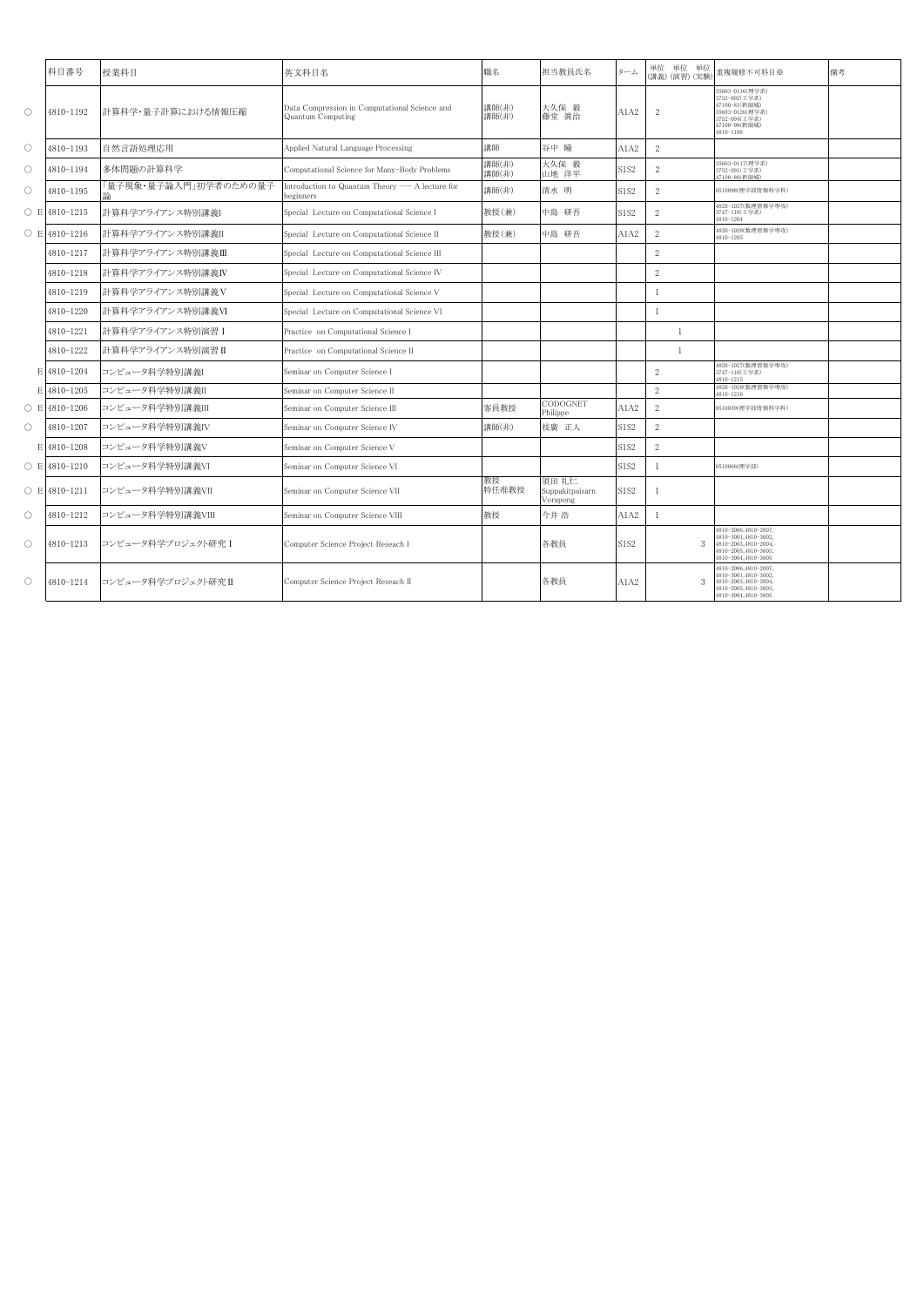|                     | 科目番号                | 授業科目                  | 英文科目名                                                              | 職名             | 担当教員氏名                               | ターム  | 単位 単位 単位<br>(講義) (演習) (実験 | 重複履修不可科目※                                                                                                           | 備考 |
|---------------------|---------------------|-----------------------|--------------------------------------------------------------------|----------------|--------------------------------------|------|---------------------------|---------------------------------------------------------------------------------------------------------------------|----|
| $\circ$             | 4810-1192           | 計算科学・量子計算における情報圧縮     | Data Compression in Computational Science and<br>Quantum Computing | 講師(非)<br>講師(非) | 大久保 毅<br>藤堂 真治                       | A1A2 | $\mathbf{2}$              | 35603-0116(理学系)<br>3752-092(工学系)<br>47100-81(新領域)<br>35603-0126(理学系)<br>3752-094(工学系)<br>47100-98(新領域)<br>4810-1188 |    |
| $\circ$             | 4810-1193           | 自然言語処理応用              | Applied Natural Language Processing                                | 講師             | 谷中 瞳                                 | A1A2 | $\sqrt{2}$                |                                                                                                                     |    |
| $\circ$             | 4810-1194           | 多体問題の計算科学             | Computational Science for Many-Body Problems                       | 講師(非)<br>講師(非) | 大久保 毅<br>山地 洋平                       | S1S2 | $\,2$                     | 35603-0117(理学系)<br>3752-091(工学系)<br>47100-80(新領域)                                                                   |    |
| $\circ$             | 4810-1195           | 「量子現象・量子論入門」初学者のための量子 | Introduction to Quantum Theory --- A lecture for<br>oeginners      | 講師(非)          | 清水 明                                 | S1S2 | $\sqrt{2}$                | 0510098(理学部情報科学科)                                                                                                   |    |
|                     | $\circ$ E 4810-1215 | 計算科学アライアンス特別講義I       | Special Lecture on Computational Science I                         | 教授(兼)          | 中島 研吾                                | S1S2 | $\sqrt{2}$                | 4820-1027(数理情報学専攻)<br>3747-110(工学系)<br>4810-1204                                                                    |    |
|                     | $O$ E 4810-1216     | 計算科学アライアンス特別講義II      | Special Lecture on Computational Science II                        | 教授(兼)          | 中島 研吾                                | A1A2 | $\overline{2}$            | 4820-1028(数理情報学専攻)<br>4810-1205                                                                                     |    |
|                     | 4810-1217           | 計算科学アライアンス特別講義Ⅲ       | Special Lecture on Computational Science III                       |                |                                      |      | $\overline{2}$            |                                                                                                                     |    |
|                     | 4810-1218           | 計算科学アライアンス特別講義IV      | Special Lecture on Computational Science IV                        |                |                                      |      | $\sqrt{2}$                |                                                                                                                     |    |
|                     | 4810-1219           | 計算科学アライアンス特別講義V       | Special Lecture on Computational Science V                         |                |                                      |      | $\mathbf{1}$              |                                                                                                                     |    |
|                     | 4810-1220           | 計算科学アライアンス特別講義VI      | Special Lecture on Computational Science VI                        |                |                                      |      | $\mathbf{1}$              |                                                                                                                     |    |
|                     | 4810-1221           | 計算科学アライアンス特別演習 I      | Practice on Computational Science I                                |                |                                      |      | 1                         |                                                                                                                     |    |
|                     | 4810-1222           | 計算科学アライアンス特別演習Ⅱ       | Practice on Computational Science II                               |                |                                      |      | $\mathbf{1}$              |                                                                                                                     |    |
|                     | E 4810-1204         | コンピュータ科学特別講義I         | Seminar on Computer Science I                                      |                |                                      |      | 2                         | 4820-1027(数理情報学専攻)<br>3747-110(工学系)<br>4810-1215                                                                    |    |
|                     | E 4810-1205         | コンピュータ科学特別講義II        | Seminar on Computer Science II                                     |                |                                      |      | 2                         | 4820-1028(数理情報学専攻)<br>4810-1216                                                                                     |    |
|                     | $\circ$ E 4810-1206 | コンピュータ科学特別講義III       | Seminar on Computer Science III                                    | 客員教授           | CODOGNET<br>Philippe                 | A1A2 | $\overline{2}$            | 0510059(理学部情報科学科)                                                                                                   |    |
| $\circlearrowright$ | 4810-1207           | コンピュータ科学特別講義IV        | Seminar on Computer Science IV                                     | 講師(非)          | 枝廣 正人                                | S1S2 | $\overline{2}$            |                                                                                                                     |    |
|                     | E 4810-1208         | コンピュータ科学特別講義V         | Seminar on Computer Science V                                      |                |                                      | S1S2 | $\sqrt{2}$                |                                                                                                                     |    |
|                     | $O$ E 4810-1210     | コンピュータ科学特別講義VI        | Seminar on Computer Science VI                                     |                |                                      | S1S2 | $\mathbf{1}$              | 0510066(理学部)                                                                                                        |    |
|                     | $O$ E 4810-1211     | コンピュータ科学特別講義VII       | Seminar on Computer Science VII                                    | 教授<br>特任准教授    | 須田 礼仁<br>Suppakitpaisarn<br>Vorapong | S1S2 | 1                         |                                                                                                                     |    |
| $\circlearrowright$ | 4810-1212           | コンピュータ科学特別講義VIII      | Seminar on Computer Science VIII                                   | 教授             | 今井 浩                                 | A1A2 | 1                         |                                                                                                                     |    |
| $\circlearrowright$ | 4810-1213           | コンピュータ科学プロジェクト研究 I    | Computer Science Project Reseach I                                 |                | 各教員                                  | S1S2 |                           | 4810-2006,4810-2007,<br>4810-3001,4810-3002,<br>4810-2003,4810-2004,<br>4810-2005,4810-3003,<br>4810-3004,4810-3005 |    |
| $\circlearrowright$ | 4810-1214           | コンピュータ科学プロジェクト研究Ⅱ     | Computer Science Project Reseach II                                |                | 各教員                                  | A1A2 |                           | 4810-2006,4810-2007,<br>4810-3001,4810-3002,<br>4810-2003,4810-2004,<br>4810-2005,4810-3003,<br>4810-3004,4810-3005 |    |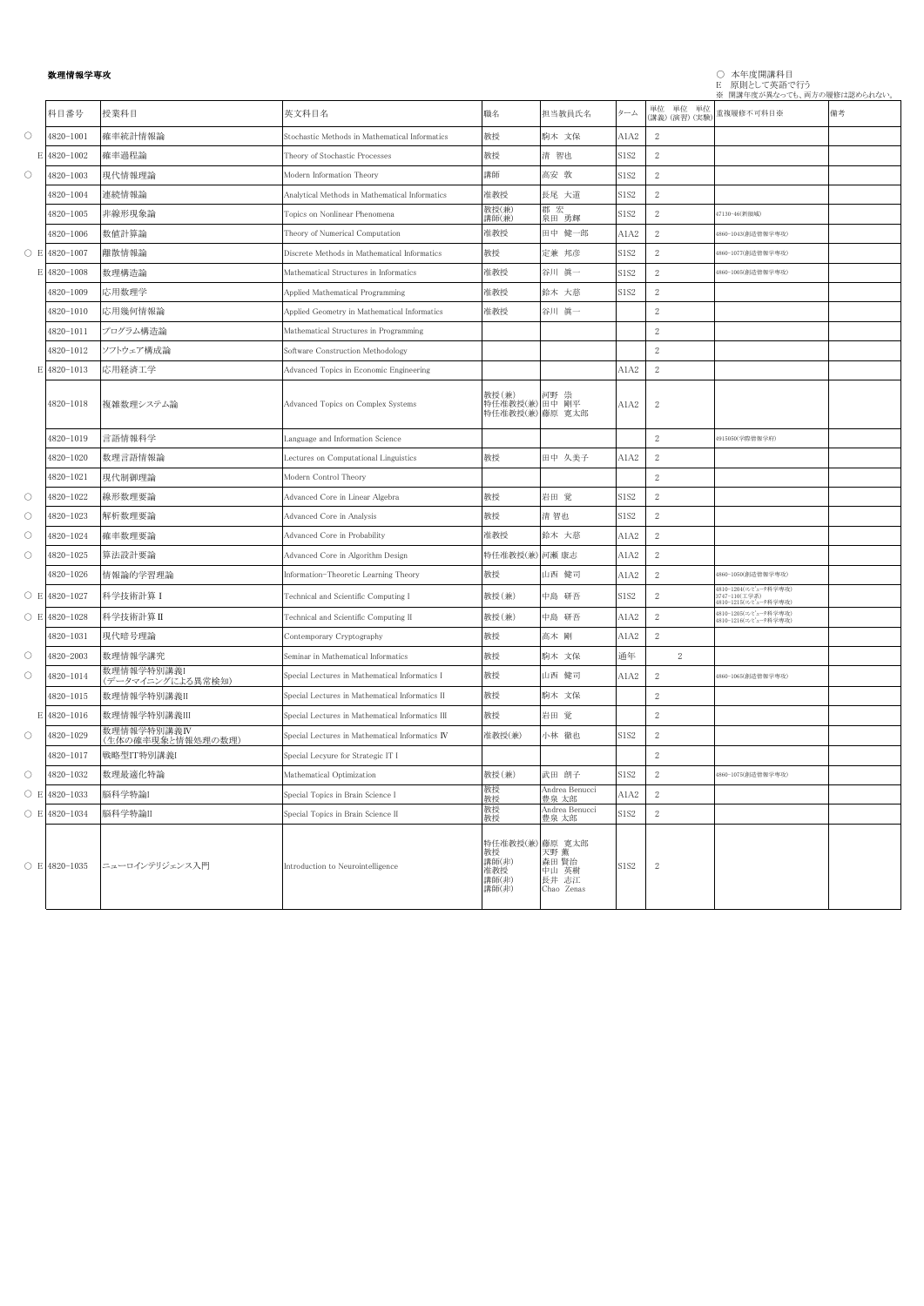## 数理情報学専攻 ○ 本年度開講科目 E 原則として英語で行う

|                     |                 |                                  |                                                  |                                                         |                                               |      |                            | ※ 開講年度が異なっても、両方の履修は認められない。                                      |    |
|---------------------|-----------------|----------------------------------|--------------------------------------------------|---------------------------------------------------------|-----------------------------------------------|------|----------------------------|-----------------------------------------------------------------|----|
|                     | 科目番号            | 授業科目                             | 英文科目名                                            | 職名                                                      | 担当教員氏名                                        | ターム  | 単位 単位 単位<br>(講義) (演習) (実験) | 重複履修不可科目※                                                       | 備考 |
| $\circlearrowright$ | 4820-1001       | 確率統計情報論                          | Stochastic Methods in Mathematical Informatics   | 教授                                                      | 駒木 文保                                         | A1A2 | 2                          |                                                                 |    |
| Е                   | 4820-1002       | 確率過程論                            | Theory of Stochastic Processes                   | 教授                                                      | 清 智也                                          | S1S2 | $\sqrt{2}$                 |                                                                 |    |
| $\circlearrowright$ | 4820-1003       | 現代情報理論                           | Modern Information Theory                        | 講師                                                      | 高安 敦                                          | S1S2 | $\sqrt{2}$                 |                                                                 |    |
|                     | 4820-1004       | 連続情報論                            | Analytical Methods in Mathematical Informatics   | 准教授                                                     | 長尾 大道                                         | S1S2 | $\sqrt{2}$                 |                                                                 |    |
|                     | 4820-1005       | 非線形現象論                           | Topics on Nonlinear Phenomena                    | 教授(兼)<br>講師(兼)                                          | 郡宏<br>泉田 勇輝                                   | S1S2 | $\sqrt{2}$                 | 17130-46(新領域)                                                   |    |
|                     | 4820-1006       | 数值計算論                            | Theory of Numerical Computation                  | 准教授                                                     | 田中 健一郎                                        | A1A2 | $\sqrt{2}$                 | 1860-1043(創造情報学専攻)                                              |    |
| $\bigcirc$ E        | 4820-1007       | 離散情報論                            | Discrete Methods in Mathematical Informatics     | 教授                                                      | 定兼 邦彦                                         | S1S2 | $\mathbf{2}$               | 1860-1077(創造情報学専攻)                                              |    |
| E                   | 4820-1008       | 数理構造論                            | Mathematical Structures in Informatics           | 准教授                                                     | 谷川 眞一                                         | S1S2 | $\sqrt{2}$                 | 1860-1005(創造情報学専攻)                                              |    |
|                     | 4820-1009       | 応用数理学                            | Applied Mathematical Programming                 | 准教授                                                     | 鈴木 大慈                                         | S1S2 | $\mathbf{2}$               |                                                                 |    |
|                     | 4820-1010       | 応用幾何情報論                          | Applied Geometry in Mathematical Informatics     | 准教授                                                     | 谷川 眞一                                         |      | $\mathbf{2}$               |                                                                 |    |
|                     | 4820-1011       | プログラム構造論                         | Mathematical Structures in Programming           |                                                         |                                               |      | $\mathbf{2}$               |                                                                 |    |
|                     | 4820-1012       | ソフトウェア構成論                        | Software Construction Methodology                |                                                         |                                               |      | 2                          |                                                                 |    |
| E                   | 4820-1013       | 応用経済工学                           | Advanced Topics in Economic Engineering          |                                                         |                                               | A1A2 | 2                          |                                                                 |    |
|                     | 4820-1018       | 複雑数理システム論                        | Advanced Topics on Complex Systems               | 教授(兼) 初野 崇<br>特任准教授(兼) 田中 剛平<br>特任准教授(兼) 藤原 寛太郎         |                                               | A1A2 | $\mathbf{2}$               |                                                                 |    |
|                     | 4820-1019       | 言語情報科学                           | Language and Information Science                 |                                                         |                                               |      | 2                          | 4915050(学際情報学府)                                                 |    |
|                     | 4820-1020       | 数理言語情報論                          | Lectures on Computational Linguistics            | 教授                                                      | 田中 久美子                                        | A1A2 | $\sqrt{2}$                 |                                                                 |    |
|                     | 4820-1021       | 現代制御理論                           | Modern Control Theory                            |                                                         |                                               |      | $\sqrt{2}$                 |                                                                 |    |
| $\circ$             | 4820-1022       | 線形数理要論                           | Advanced Core in Linear Algebra                  | 教授                                                      | 岩田 覚                                          | S1S2 | $\sqrt{2}$                 |                                                                 |    |
| $\circlearrowright$ | 4820-1023       | 解析数理要論                           | Advanced Core in Analysis                        | 教授                                                      | 清 智也                                          | S1S2 | $\sqrt{2}$                 |                                                                 |    |
| $\circlearrowright$ | 4820-1024       | 確率数理要論                           | Advanced Core in Probability                     | 准教授                                                     | 鈴木 大慈                                         | A1A2 | $\sqrt{2}$                 |                                                                 |    |
| $\circlearrowright$ | 4820-1025       | 算法設計要論                           | Advanced Core in Algorithm Design                | 特任准教授(兼) 河瀬 康志                                          |                                               | A1A2 | $\sqrt{2}$                 |                                                                 |    |
|                     | 4820-1026       | 情報論的学習理論                         | Information-Theoretic Learning Theory            | 教授                                                      | 山西 健司                                         | A1A2 | $\mathbf{2}$               | 1860-1050(創造情報学専攻)                                              |    |
| $\bigcirc$ E        | 4820-1027       | 科学技術計算 I                         | Technical and Scientific Computing I             | 教授(兼)                                                   | 中島 研吾                                         | S1S2 | $\sqrt{2}$                 | 4810-1204(コンピュータ科学専攻)<br>3747-110(工学系)<br>4810-1215(コンピュータ科学専攻) |    |
| $\circ$ E           | 4820-1028       | 科学技術計算II                         | Technical and Scientific Computing II            | 教授(兼)                                                   | 中島 研吾                                         | A1A2 | $\mathbf{2}$               | 1810-1205(コンピュータ科学専攻)<br>1810-1216(コンピュータ科学専攻)                  |    |
|                     | 4820-1031       | 現代暗号理論                           | Contemporary Cryptography                        | 教授                                                      | 高木 剛                                          | A1A2 | 2                          |                                                                 |    |
| $\circ$             | 4820-2003       | 数理情報学講究                          | Seminar in Mathematical Informatics              | 教授                                                      | 駒木 文保                                         | 通年   | 2                          |                                                                 |    |
| $\circlearrowright$ | 4820-1014       | 数理情報学特別講義I<br>(データマイニングによる異常検知)  | Special Lectures in Mathematical Informatics I   | 教授                                                      | 山西 健司                                         | A1A2 | 2                          | 1860-1065(創造情報学専攻)                                              |    |
|                     | 4820-1015       | 数理情報学特別講義II                      | Special Lectures in Mathematical Informatics II  | 教授                                                      | 駒木 文保                                         |      | 2                          |                                                                 |    |
| Е                   | 4820-1016       | 数理情報学特別講義III                     | Special Lectures in Mathematical Informatics III | 教授                                                      | 岩田 覚                                          |      | 2                          |                                                                 |    |
| $\circlearrowright$ | 4820-1029       | 数理情報学特別講義IV<br>(生体の確率現象と情報処理の数理) | Special Lectures in Mathematical Informatics IV  | 准教授(兼)                                                  | 小林 徹也                                         | S1S2 | 2                          |                                                                 |    |
|                     | 4820-1017       | 戦略型IT特別講義I                       | Special Lecyure for Strategic IT I               |                                                         |                                               |      | $\mathbf{2}$               |                                                                 |    |
| $\circlearrowright$ | 4820-1032       | 数理最適化特論                          | Mathematical Optimization                        | 教授(兼)                                                   | 武田 朗子                                         | S1S2 | 2                          | 1860-1075(創造情報学専攻)                                              |    |
| $\bigcirc$ E        | 4820-1033       | 脳科学特論I                           | Special Topics in Brain Science I                | 教授<br>教授                                                | Andrea Benucci<br>豊泉 太郎                       | A1A2 | 2                          |                                                                 |    |
|                     | $O$ E 4820-1034 | 脳科学特論II                          | Special Topics in Brain Science II               | 教授<br>教授                                                | Andrea Benucci<br>豊泉 太郎                       | S1S2 | 2                          |                                                                 |    |
|                     | ○ E 4820-1035   | ニューロインテリジェンス入門                   | Introduction to Neurointelligence                | 特任准教授(兼) 藤原 寛太郎<br>教授<br>講師(非)<br>准教授<br>講師(非)<br>講師(非) | 天野 薫<br>森田 賢治<br>中山 英樹<br>長井 志江<br>Chao Zenas | S1S2 | $\overline{2}$             |                                                                 |    |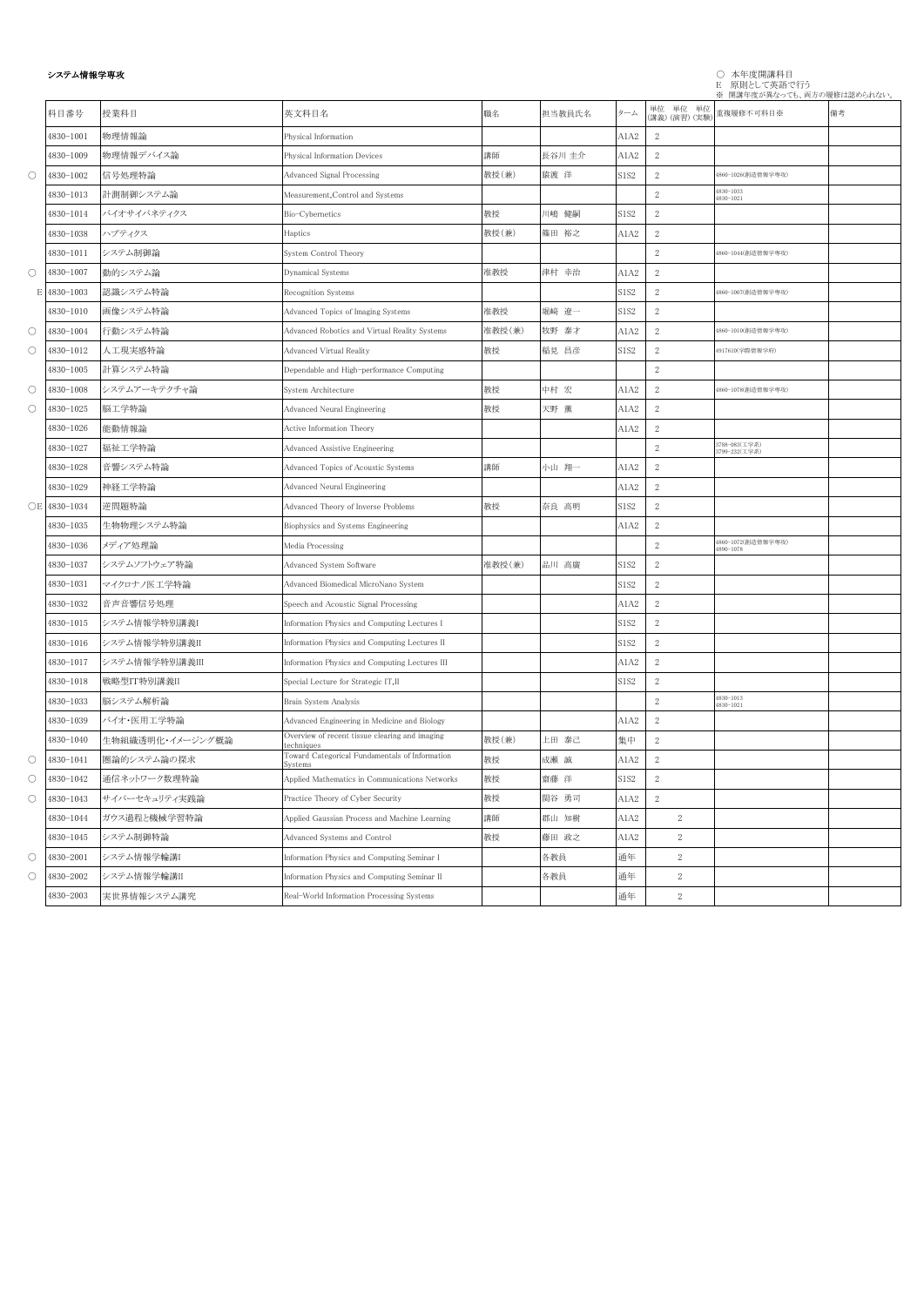## システム情報学専攻 ○ 本年度開講科目 E 原則として英語で行う ※ 開講年度が異なっても、両方の履修は認められない。

|                     | 科目番号          | 授業科目             | 英文科目名                                                        | 職名     | 担当教員氏名 | ターム         | 単位 単位 単位<br>(講義) (演習) (実験) | 重複履修不可科目※                       | 備考 |
|---------------------|---------------|------------------|--------------------------------------------------------------|--------|--------|-------------|----------------------------|---------------------------------|----|
|                     | 4830-1001     | 物理情報論            | Physical Information                                         |        |        | A1A2        | 2                          |                                 |    |
|                     | 4830-1009     | 物理情報デバイス論        | Physical Information Devices                                 | 講師     | 長谷川 圭介 | A1A2        | 2                          |                                 |    |
| $\circlearrowright$ | 4830-1002     | 信号処理特論           | Advanced Signal Processing                                   | 教授(兼)  | 猿渡 洋   | S1S2        | $\sqrt{2}$                 | 4860-1026(創造情報学専攻)              |    |
|                     | 4830-1013     | 計測制御システム論        | Measurement, Control and Systems                             |        |        |             | $\,2$                      | 4830-1033<br>4830-1021          |    |
|                     | 4830-1014     | バイオサイバネティクス      | Bio-Cybernetics                                              | 教授     | 川嶋 健嗣  | <b>S1S2</b> | $\,2$                      |                                 |    |
|                     | 4830-1038     | ハプティクス           | Haptics                                                      | 教授(兼)  | 篠田 裕之  | A1A2        | $\sqrt{2}$                 |                                 |    |
|                     | 4830-1011     | システム制御論          | System Control Theory                                        |        |        |             | $\sqrt{2}$                 | 4860-1044(創造情報学専攻)              |    |
| $\bigcirc$          | 4830-1007     | 動的システム論          | Dynamical Systems                                            | 准教授    | 津村 幸治  | A1A2        | $\,2$                      |                                 |    |
| Е                   | 4830-1003     | 認識システム特論         | Recognition Systems                                          |        |        | S1S2        | $\sqrt{2}$                 | 4860-1007(創造情報学専攻)              |    |
|                     | 4830-1010     | 画像システム特論         | Advanced Topics of Imaging Systems                           | 准教授    | 堀﨑 遼一  | S1S2        | $\sqrt{2}$                 |                                 |    |
| $\circlearrowright$ | 4830-1004     | 行動システム特論         | Advanced Robotics and Virtual Reality Systems                | 准教授(兼) | 牧野 泰才  | A1A2        | $\sqrt{2}$                 | 4860-1010(創造情報学専攻)              |    |
| $\circlearrowright$ | 4830-1012     | 人工現実感特論          | Advanced Virtual Reality                                     | 教授     | 稲見 昌彦  | S1S2        | $\,2$                      | 4917610(学際情報学府)                 |    |
|                     | 4830-1005     | 計算システム特論         | Dependable and High-performance Computing                    |        |        |             | $\sqrt{2}$                 |                                 |    |
| $\bigcirc$          | 4830-1008     | システムアーキテクチャ論     | System Architecture                                          | 教授     | 中村 宏   | A1A2        | $\sqrt{2}$                 | 4860-1078(創造情報学専攻)              |    |
| $\circlearrowright$ | 4830-1025     | 脳工学特論            | Advanced Neural Engineering                                  | 教授     | 天野 薫   | A1A2        | $\mathbf{2}$               |                                 |    |
|                     | 4830-1026     | 能動情報論            | Active Information Theory                                    |        |        | A1A2        | $\sqrt{2}$                 |                                 |    |
|                     | 4830-1027     | 福祉工学特論           | <b>Advanced Assistive Engineering</b>                        |        |        |             | $\sqrt{2}$                 | 3788-083(工学系)<br>3799-232(工学系)  |    |
|                     | 4830-1028     | 音響システム特論         | Advanced Topics of Acoustic Systems                          | 講師     | 小山 翔一  | A1A2        | $\sqrt{2}$                 |                                 |    |
|                     | 4830-1029     | 神経工学特論           | Advanced Neural Engineering                                  |        |        | A1A2        | $\,2$                      |                                 |    |
|                     | ○E 4830-1034  | 逆問題特論            | Advanced Theory of Inverse Problems                          | 教授     | 奈良 高明  | S1S2        | $\,2$                      |                                 |    |
|                     | $4830 - 1035$ | 生物物理システム特論       | Biophysics and Systems Engineering                           |        |        | A1A2        | $\,2$                      |                                 |    |
|                     | 4830-1036     | メディア処理論          | Media Processing                                             |        |        |             | $\sqrt{2}$                 | 4860-1072(創造情報学専攻)<br>4890-1078 |    |
|                     | 4830-1037     | システムソフトウェア特論     | Advanced System Software                                     | 准教授(兼) | 品川 高廣  | S1S2        | $\,2$                      |                                 |    |
|                     | 4830-1031     | マイクロナノ医工学特論      | Advanced Biomedical MicroNano System                         |        |        | S1S2        | $\,2$                      |                                 |    |
|                     | 4830-1032     | 音声音響信号処理         | Speech and Acoustic Signal Processing                        |        |        | A1A2        | $\,2$                      |                                 |    |
|                     | 4830-1015     | システム情報学特別講義I     | Information Physics and Computing Lectures I                 |        |        | S1S2        | $\sqrt{2}$                 |                                 |    |
|                     | 4830-1016     | システム情報学特別講義II    | Information Physics and Computing Lectures II                |        |        | S1S2        | 2                          |                                 |    |
|                     | 4830-1017     | システム情報学特別講義III   | Information Physics and Computing Lectures III               |        |        | A1A2        | $\sqrt{2}$                 |                                 |    |
|                     | 4830-1018     | 戦略型IT特別講義II      | Special Lecture for Strategic IT,II                          |        |        | S1S2        | $\,2$                      |                                 |    |
|                     | 4830-1033     | 脳システム解析論         | Brain System Analysis                                        |        |        |             | $\,2$                      | 4830-1013<br>4830-1021          |    |
|                     | 4830-1039     | バイオ・医用工学特論       | Advanced Engineering in Medicine and Biology                 |        |        | A1A2        | $\sqrt{2}$                 |                                 |    |
|                     | 4830-1040     | 生物組織透明化・イメージング概論 | Overview of recent tissue clearing and imaging<br>echniques: | 教授(兼)  | 上田 泰己  | 集中          | $\sqrt{2}$                 |                                 |    |
| $\bigcirc$          | 4830-1041     | 圏論的システム論の探求      | Toward Categorical Fundamentals of Information<br>Systems    | 教授     | 成瀬 誠   | A1A2        | $\,2$                      |                                 |    |
| $\bigcirc$          | 4830-1042     | 通信ネットワーク数理特論     | Applied Mathematics in Communications Networks               | 教授     | 齋藤 洋   | S1S2        | $\sqrt{2}$                 |                                 |    |
| $\bigcirc$          | 4830-1043     | サイバーセキュリティ実践論    | Practice Theory of Cyber Security                            | 教授     | 関谷 勇司  | A1A2        | $\sqrt{2}$                 |                                 |    |
|                     | 4830-1044     | ガウス過程と機械学習特論     | Applied Gaussian Process and Machine Learning                | 講師     | 郡山 知樹  | A1A2        | 2                          |                                 |    |
|                     | 4830-1045     | システム制御特論         | Advanced Systems and Control                                 | 教授     | 藤田 政之  | A1A2        | $\mathbf{2}$               |                                 |    |
| $\bigcirc$          | 4830-2001     | システム情報学輪講I       | Information Physics and Computing Seminar I                  |        | 各教員    | 通年          | $\mathbf{2}$               |                                 |    |
| О                   | 4830-2002     | システム情報学輪講II      | Information Physics and Computing Seminar II                 |        | 各教員    | 通年          | 2                          |                                 |    |
|                     | $4830 - 2003$ | 実世界情報システム講究      | Real-World Information Processing Systems                    |        |        | 通年          | 2                          |                                 |    |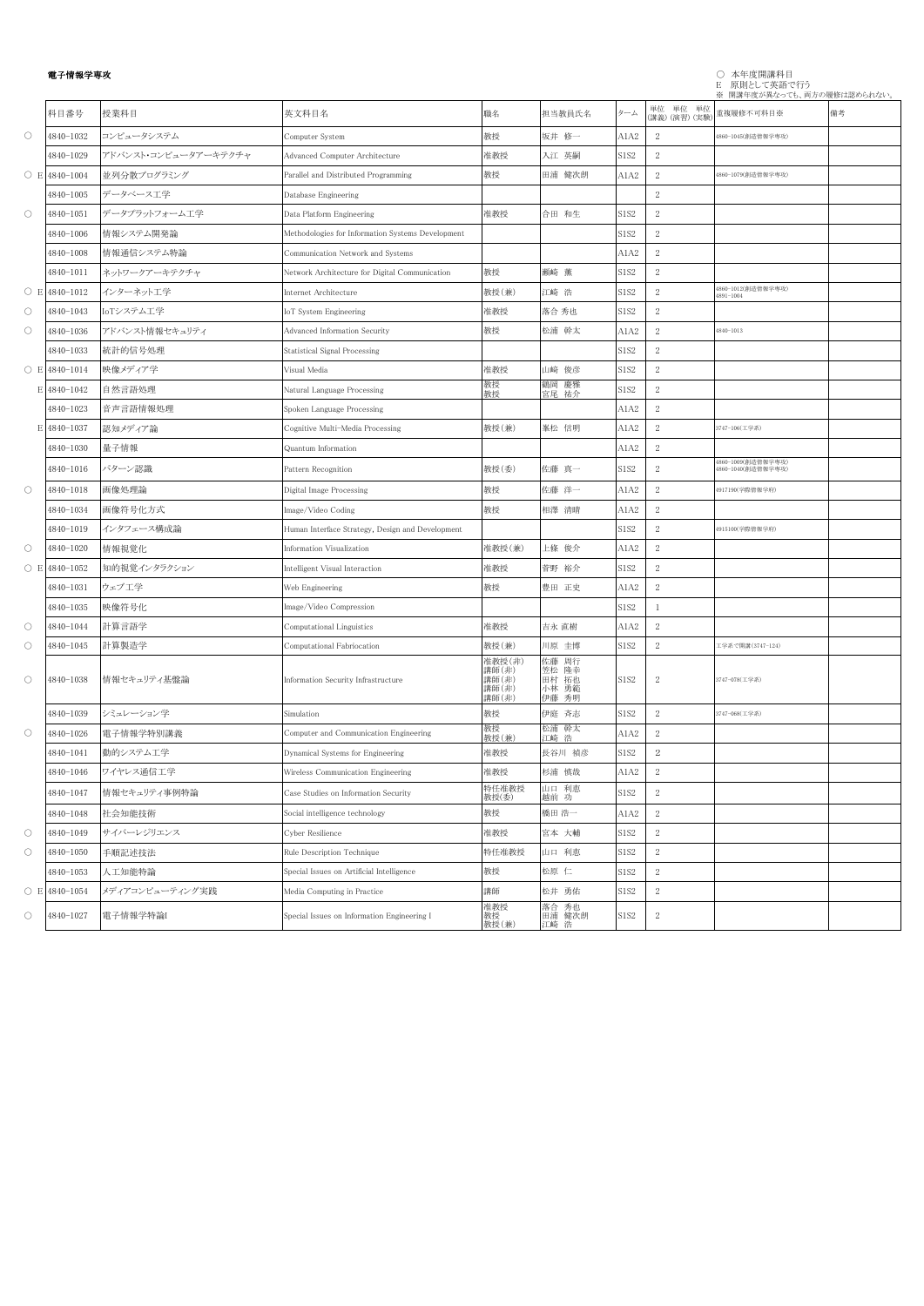## 電子情報学専攻 ○ 本年度開講科目 E 原則として英語で行う

|                     |                     |                      |                                                   |                                            |                                           |                  |                            | ※ 開講年度が異なっても、両方の履修は認められない。               |    |
|---------------------|---------------------|----------------------|---------------------------------------------------|--------------------------------------------|-------------------------------------------|------------------|----------------------------|------------------------------------------|----|
|                     | 科目番号                | 授業科目                 | 英文科目名                                             | 職名                                         | 担当教員氏名                                    | ターム              | 単位 単位 単位<br>(講義) (演習) (実験) | 重複履修不可科目※                                | 備考 |
| $\circlearrowright$ | 4840-1032           | コンピュータシステム           | Computer System                                   | 教授                                         | 坂井 修一                                     | A1A2             | 2                          | 4860-1045(創造情報学専攻)                       |    |
|                     | 4840-1029           | アドバンスト・コンピュータアーキテクチャ | Advanced Computer Architecture                    | 准教授                                        | 入江 英嗣                                     | S1S2             | 2                          |                                          |    |
|                     | $\circ$ E 4840-1004 | 並列分散プログラミング          | Parallel and Distributed Programming              | 教授                                         | 田浦 健次朗                                    | A1A2             | $\sqrt{2}$                 | 4860-1079(創造情報学専攻)                       |    |
|                     | 4840-1005           | データベース工学             | Database Engineering                              |                                            |                                           |                  | $\,2$                      |                                          |    |
| $\circ$             | 4840-1051           | データプラットフォーム工学        | Data Platform Engineering                         | 准教授                                        | 合田 和生                                     | S1S2             | $\sqrt{2}$                 |                                          |    |
|                     | 4840-1006           | 情報システム開発論            | Methodologies for Information Systems Development |                                            |                                           | S1S2             | $\sqrt{2}$                 |                                          |    |
|                     | 4840-1008           | 情報通信システム特論           | Communication Network and Systems                 |                                            |                                           | A1A2             | $\sqrt{2}$                 |                                          |    |
|                     | 4840-1011           | ネットワークアーキテクチャ        | Network Architecture for Digital Communication    | 教授                                         | 瀬崎 薫                                      | <b>S1S2</b>      | $\sqrt{2}$                 |                                          |    |
|                     | $\circ$ E 4840-1012 | インターネット工学            | Internet Architecture                             | 教授(兼)                                      | 江崎 浩                                      | <b>S1S2</b>      | $\sqrt{2}$                 | 4860-1012(創造情報学専攻)<br>4891-1004          |    |
| $\circ$             | 4840-1043           | IoTシステム工学            | <b>IoT</b> System Engineering                     | 准教授                                        | 落合 秀也                                     | S1S2             | $\sqrt{2}$                 |                                          |    |
| $\circlearrowright$ | 4840-1036           | アドバンスト情報セキュリティ       | Advanced Information Security                     | 教授                                         | 松浦 幹太                                     | A1A2             | $\sqrt{2}$                 | 4840-1013                                |    |
|                     | 4840-1033           | 統計的信号処理              | Statistical Signal Processing                     |                                            |                                           | S1S2             | 2                          |                                          |    |
|                     | $\circ$ E 4840-1014 | 映像メディア学              | Visual Media                                      | 准教授                                        | 山﨑 俊彦                                     | S1S2             | $\sqrt{2}$                 |                                          |    |
|                     | E 4840-1042         | 自然言語処理               | Natural Language Processing                       | 教授<br>教授                                   | 鶴岡 慶雅<br>宮尾 祐介                            | <b>S1S2</b>      | $\sqrt{2}$                 |                                          |    |
|                     | 4840-1023           | 音声言語情報処理             | Spoken Language Processing                        |                                            |                                           | A1A2             | 2                          |                                          |    |
|                     | E 4840-1037         | 認知メディア論              | Cognitive Multi-Media Processing                  | 教授(兼)                                      | 峯松 信明                                     | A1A2             | $\sqrt{2}$                 | 3747-106(工学系)                            |    |
|                     | 4840-1030           | 量子情報                 | Quantum Information                               |                                            |                                           | A1A2             | $\,2$                      |                                          |    |
|                     | 4840-1016           | パターン認識               | Pattern Recognition                               | 教授(委)                                      | 佐藤 真一                                     | <b>S1S2</b>      | 2                          | 4860-1009(創造情報学専攻)<br>4860-1040(創造情報学専攻) |    |
| $\circ$             | 4840-1018           | 画像処理論                | Digital Image Processing                          | 教授                                         | 佐藤 洋一                                     | A1A2             | $\sqrt{2}$                 | 4917190(学際情報学府)                          |    |
|                     | 4840-1034           | 画像符号化方式              | Image/Video Coding                                | 教授                                         | 相澤 清晴                                     | A1A2             | $\sqrt{2}$                 |                                          |    |
|                     | 4840-1019           | インタフェース構成論           | Human Interface Strategy, Design and Development  |                                            |                                           | S1S2             | $\sqrt{2}$                 | 4915100(学際情報学府)                          |    |
| $\circ$             | 4840-1020           | 情報視覚化                | Information Visualization                         | 准教授(兼)                                     | 上條 俊介                                     | A1A2             | $\sqrt{2}$                 |                                          |    |
|                     | $\circ$ E 4840-1052 | 知的視覚インタラクション         | Intelligent Visual Interaction                    | 准教授                                        | 菅野 裕介                                     | S1S <sub>2</sub> | $\,2$                      |                                          |    |
|                     | 4840-1031           | ウェブ工学                | Web Engineering                                   | 教授                                         | 豊田 正史                                     | A1A2             | 2                          |                                          |    |
|                     | 4840-1035           | 映像符号化                | Image/Video Compression                           |                                            |                                           | <b>S1S2</b>      | $\overline{1}$             |                                          |    |
| $\circ$             | 4840-1044           | 計算言語学                | Computational Linguistics                         | 准教授                                        | 吉永 直樹                                     | A1A2             | $\sqrt{2}$                 |                                          |    |
| $\circlearrowright$ | 4840-1045           | 計算製造学                | Computational Fabriocation                        | 教授(兼)                                      | 川原 圭博                                     | <b>S1S2</b>      | $\sqrt{2}$                 | 工学系で開講(3747-124)                         |    |
| $\circ$             | 4840-1038           | 情報セキュリティ基盤論          | Information Security Infrastructure               | 准教授(非)<br>講師(非)<br>講師(非)<br>講師(非)<br>講師(非) | 佐藤 周行<br>笠松 隆幸<br>田村 拓也<br>小林 勇範<br>伊藤 秀明 | <b>S1S2</b>      | $\boldsymbol{2}$           | 3747-078(工学系)                            |    |
|                     | 4840-1039           | シミュレーション学            | Simulation                                        | 教授                                         | 伊庭 斉志                                     | <b>S1S2</b>      | $\sqrt{2}$                 | 3747-068(工学系)                            |    |
| $\circ$             | 4840-1026           | 電子情報学特別講義            | Computer and Communication Engineering            | 教授<br>教授(兼)                                | 松浦 幹太<br>江崎 浩                             | A1A2             | $\sqrt{2}$                 |                                          |    |
|                     | 4840-1041           | 動的システム工学             | Dynamical Systems for Engineering                 | 准教授                                        | 長谷川 禎彦                                    | <b>S1S2</b>      | $\,2$                      |                                          |    |
|                     | 4840-1046           | ワイヤレス通信工学            | Wireless Communication Engineering                | 准教授                                        | 杉浦 慎哉                                     | A1A2             | $\sqrt{2}$                 |                                          |    |
|                     | 4840-1047           | 情報セキュリティ事例特論         | Case Studies on Information Security              | 特任准教授<br>教授(委)                             | 山口 利恵<br>越前 功                             | S1S2             | $\sqrt{2}$                 |                                          |    |
|                     | 4840-1048           | 社会知能技術               | Social intelligence technology                    | 教授                                         | 橋田 浩一                                     | A1A2             | $\sqrt{2}$                 |                                          |    |
| $\circ$             | 4840-1049           | サイバーレジリエンス           | Cyber Resilience                                  | 准教授                                        | 宮本 大輔                                     | S1S2             | $\sqrt{2}$                 |                                          |    |
| $\circ$             | 4840-1050           | 手順記述技法               | Rule Description Technique                        | 特任准教授                                      | 山口 利恵                                     | S1S2             | $\sqrt{2}$                 |                                          |    |
|                     | 4840-1053           | 人工知能特論               | Special Issues on Artificial Intelligence         | 教授                                         | 松原 仁                                      | <b>S1S2</b>      | $\sqrt{2}$                 |                                          |    |
|                     | $\circ$ E 4840-1054 | メディアコンピューティング実践      | Media Computing in Practice                       | 講師                                         | 松井 勇佑                                     | <b>S1S2</b>      | $\sqrt{2}$                 |                                          |    |
| $\bigcirc$          | 4840-1027           | 電子情報学特論              | Special Issues on Information Engineering I       | 准教授<br>教授<br>教授(兼)                         | 落合 秀也<br>田浦 健次朗<br>江崎 浩                   | <b>S1S2</b>      | $\sqrt{2}$                 |                                          |    |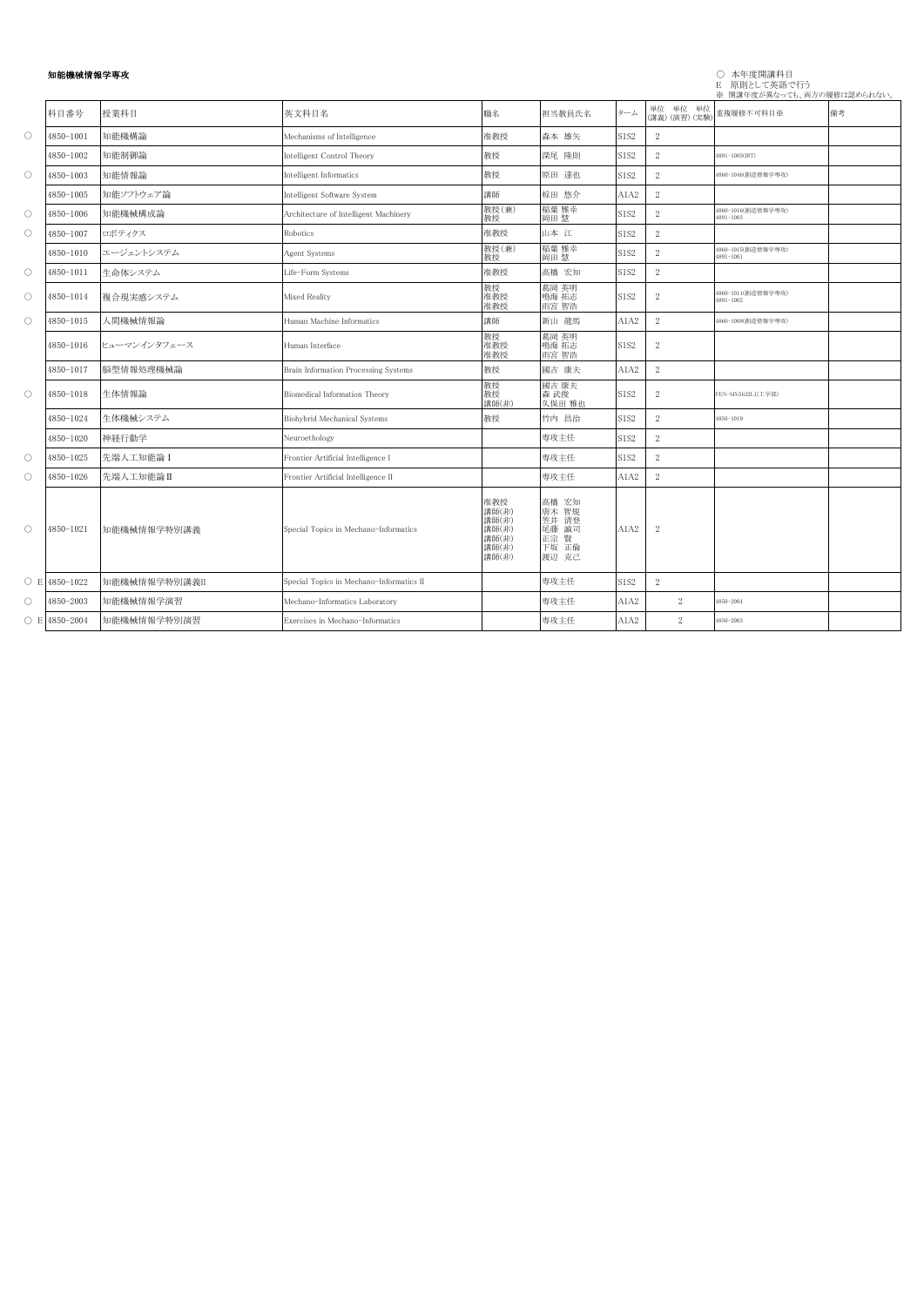# 知能機械情報学専攻

# E 原則として英語で行う

|                     |                     |               |                                          |                                                           |                                                            |             |                            | ※ 開講年度が異なっても、両方の履修は認められない。      |    |
|---------------------|---------------------|---------------|------------------------------------------|-----------------------------------------------------------|------------------------------------------------------------|-------------|----------------------------|---------------------------------|----|
|                     | 科目番号                | 授業科目          | 英文科目名                                    | 職名                                                        | 担当教員氏名                                                     | ターム         | 単位 単位 単位<br>(講義) (演習) (実験) | 重複履修不可科目※                       | 備考 |
| $\circ$             | 4850-1001           | 知能機構論         | Mechanisms of Intelligence               | 准教授                                                       | 森本 雄矢                                                      | S1S2        | 2                          |                                 |    |
|                     | 4850-1002           | 知能制御論         | Intelligent Control Theory               | 教授                                                        | 深尾 隆則                                                      | S1S2        | $\sqrt{2}$                 | 4891-1005(IRT)                  |    |
| $\circ$             | 4850-1003           | 知能情報論         | Intelligent Informatics                  | 教授                                                        | 原田 達也                                                      | S1S2        | $\sqrt{2}$                 | 4860-1046(創造情報学専攻)              |    |
|                     | 4850-1005           | 知能ソフトウェア論     | Intelligent Software System              | 講師                                                        | 椋田 悠介                                                      | A1A2        | 2                          |                                 |    |
| $\circ$             | 4850-1006           | 知能機械構成論       | Architecture of Intelligent Machinery    | 教授(兼)<br>敎授                                               | 稲葉 雅幸<br>岡田 慧                                              | S1S2        | 2                          | 1860-1016(創造情報学専攻)<br>1891-1003 |    |
| $\circlearrowright$ | 4850-1007           | ロボティクス        | Robotics                                 | 准教授                                                       | 山本 江                                                       | <b>S1S2</b> | 2                          |                                 |    |
|                     | 4850-1010           | エージェントシステム    | Agent Systems                            | 教授(兼)<br>教授                                               | 稲葉 雅幸                                                      | S1S2        | $\sqrt{2}$                 | 1860-1015(創造情報学専攻)<br>4891-1001 |    |
| $\circ$             | 4850-1011           | 生命体システム       | Life-Form Systems                        | 准教授                                                       | 高橋 宏知                                                      | S1S2        | $\sqrt{2}$                 |                                 |    |
| $\circ$             | 4850-1014           | 複合現実感システム     | Mixed Reality                            | 教授<br>准教授<br>准教授                                          | 葛岡 英明<br>鳴海 拓志<br>雨宮 智浩                                    | S1S2        | $\mathbf{2}$               | 1860-1011(創造情報学専攻)<br>1891-1002 |    |
| $\circ$             | 4850-1015           | 人間機械情報論       | Human Machine Informatics                | 講師                                                        | 新山 龍馬                                                      | A1A2        | 2                          | 1860-1008(創造情報学専攻)              |    |
|                     | 1850-1016           | ヒューマンインタフェース  | Human Interface                          | 教授<br>准教授<br>准教授                                          | 葛岡 英明<br>鳴海 拓志<br>雨宮 智浩                                    | S1S2        | 2                          |                                 |    |
|                     | 4850-1017           | 脳型情報処理機械論     | Brain Information Processing Systems     | 教授                                                        | 國吉 康夫                                                      | A1A2        | 2                          |                                 |    |
| $\circ$             | 4850-1018           | 生体情報論         | Biomedical Information Theory            | 教授<br>教授<br>講師(非)                                         | 國吉 康夫<br>森武俊<br>久保田 雅也                                     | S1S2        | $\sqrt{2}$                 | FEN-MX5b32L1(工学部)               |    |
|                     | 4850-1024           | 生体機械システム      | Biohybrid Mechanical Systems             | 教授                                                        | 竹内 昌治                                                      | S1S2        | $\mathbf{2}$               | 1850-1019                       |    |
|                     | 1850-1020           | 神経行動学         | Neuroethology                            |                                                           | 専攻主任                                                       | S1S2        | 2                          |                                 |    |
| $\circ$             | 4850-1025           | 先端人工知能論 I     | Frontier Artificial Intelligence I       |                                                           | 専攻主任                                                       | S1S2        | 2                          |                                 |    |
| $\circlearrowright$ | 1850-1026           | 先端人工知能論II     | Frontier Artificial Intelligence II      |                                                           | 専攻主任                                                       | A1A2        | 2                          |                                 |    |
| $\circ$             | 4850-1021           | 知能機械情報学特別講義   | Special Topics in Mechano-Informatics    | 准教授<br>講師(非)<br>講師(非)<br>講師(非)<br>講師(非)<br>講師(非)<br>講師(非) | 高橋 宏知<br>唐木 智規<br>笠井 清登<br>尾藤 誠司<br>正宗 賢<br>下坂 正倫<br>渡辺 克己 | A1A2        | $\boldsymbol{2}$           |                                 |    |
|                     | $\circ$ E 4850-1022 | 知能機械情報学特別講義II | Special Topics in Mechano-Informatics II |                                                           | 専攻主任                                                       | S1S2        | $\mathbf{2}$               |                                 |    |
| $\circlearrowright$ | 4850-2003           | 知能機械情報学演習     | Mechano-Informatics Laboratory           |                                                           | 専攻主任                                                       | A1A2        | $\mathbf{2}$               | 1850-2004                       |    |
|                     | $\circ$ E 4850-2004 | 知能機械情報学特別演習   | Exercises in Mechano-Informatics         |                                                           | 専攻主任                                                       | A1A2        | 2                          | 1850-2003                       |    |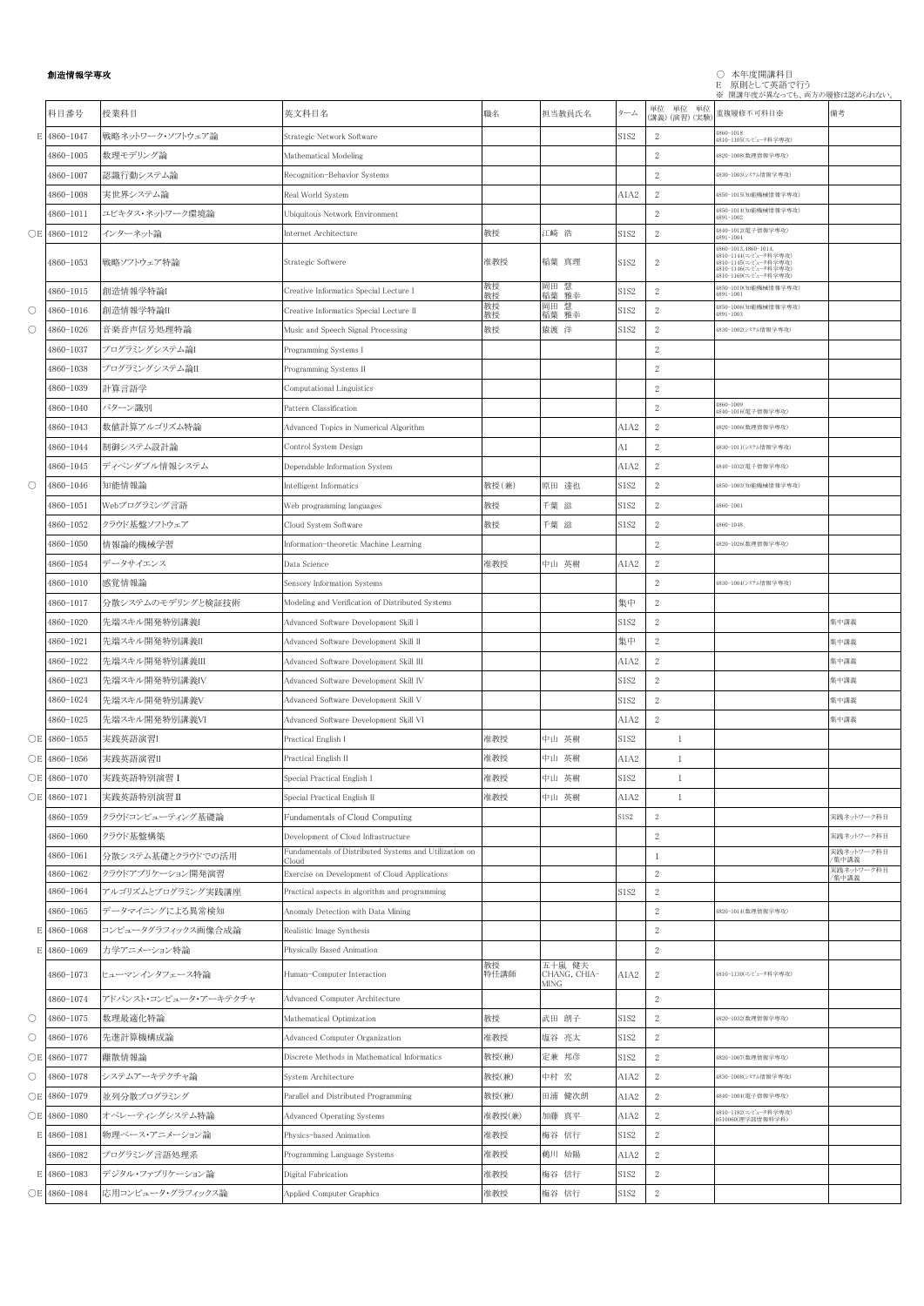## 創造情報学専攻 ○ 本年度開講科目 E 原則として英語で行う

|                     |              |                       |                                                                 |            |                                |                               |                            | ※ 開講年度が異なっても、両方の履修は認められない。                                                                      |                     |
|---------------------|--------------|-----------------------|-----------------------------------------------------------------|------------|--------------------------------|-------------------------------|----------------------------|-------------------------------------------------------------------------------------------------|---------------------|
|                     | 科目番号         | 授業科目                  | 英文科目名                                                           | 職名         | 担当教員氏名                         | ターム                           | 単位 単位 単位<br>(講義) (演習) (実験) | 重複履修不可科目※                                                                                       | 備考                  |
|                     | E 4860-1047  | 戦略ネットワーク・ソフトウェア論      | Strategic Network Software                                      |            |                                | S1S2                          | 2                          | 4860-1018<br>4810-1105(コンピュータ科学専攻)                                                              |                     |
|                     | 4860-1005    | 数理モデリング論              | Mathematical Modeling                                           |            |                                |                               | $\overline{2}$             | 4820-1008(数理情報学専攻)                                                                              |                     |
|                     | 4860-1007    | 認識行動システム論             | Recognition-Behavior Systems                                    |            |                                |                               | $\overline{2}$             | 4830-1003(システム情報学専攻)                                                                            |                     |
|                     | 4860-1008    | 実世界システム論              | Real World System                                               |            |                                | A1A2                          | 2                          | 4850-1015(知能機械情報学専攻)                                                                            |                     |
|                     | 4860-1011    | ユビキタス・ネットワーク環境論       | Ubiquitous Network Environment                                  |            |                                |                               | $\overline{2}$             | 1850-1014(知能機械情報学専攻)<br>4891-1002                                                               |                     |
|                     | OE 4860-1012 | インターネット論              | Internet Architecture                                           | 教授         | 江崎 浩                           | S1S2                          | $\overline{2}$             | 1840-1012(電子情報学専攻)<br>4891-1004                                                                 |                     |
|                     | 4860-1053    | 戦略ソフトウェア特論            | Strategic Softwere                                              | 准教授        | 稲葉 真理                          | S <sub>1</sub> S <sub>2</sub> | 2                          | 4860-1013,4860-1014,<br>4810-1144(コンピュータ科学専攻)<br>4810-1145(コンピュータ科学専攻)<br>4810-1146(コンピュータ科学専攻) |                     |
|                     |              | 創造情報学特論               |                                                                 | 教授         | 岡田 慧                           |                               |                            | 4810-1169(コンピュータ科学専攻)<br>4850-1010(知能機械情報学専攻)                                                   |                     |
|                     | 4860-1015    |                       | Creative Informatics Special Lecture I                          | 教授<br>教授   | 稲葉 雅幸<br>岡田 慧                  | S1S <sub>2</sub>              | $\overline{2}$             | 4891-1001<br>4850-1006(知能機械情報学専攻)                                                               |                     |
| O                   | 4860-1016    | 創造情報学特論II             | Creative Informatics Special Lecture II                         | 教授         | 稲葉 雅幸                          | S1S <sub>2</sub>              | $\mathbf{2}$               | 4891-1003                                                                                       |                     |
| $\circlearrowright$ | 4860-1026    | 音楽音声信号処理特論            | Music and Speech Signal Processing                              | 教授         | 猿渡 洋                           | S1S2                          | $\overline{2}$             | 4830-1002(システム情報学専攻)                                                                            |                     |
|                     | 4860-1037    | プログラミングシステム論I         | Programming Systems I                                           |            |                                |                               | $\boldsymbol{2}$           |                                                                                                 |                     |
|                     | 4860-1038    | プログラミングシステム論II        | Programming Systems II                                          |            |                                |                               | $\boldsymbol{2}$           |                                                                                                 |                     |
|                     | 4860-1039    | 計算言語学                 | Computational Linguistics                                       |            |                                |                               | $\boldsymbol{2}$           |                                                                                                 |                     |
|                     | 4860-1040    | パターン識別                | Pattern Classification                                          |            |                                |                               | $\overline{2}$             | 4860-1009<br>4840-1016(電子情報学専攻)                                                                 |                     |
|                     | 4860-1043    | 数値計算アルゴリズム特論          | Advanced Topics in Numerical Algorithm                          |            |                                | A1A2                          | $\,2$                      | 4820-1006(数理情報学専攻)                                                                              |                     |
|                     | 4860-1044    | 制御システム設計論             | Control System Design                                           |            |                                | A1                            | $\overline{2}$             | 4830-1011(システム情報学専攻)                                                                            |                     |
|                     | 4860-1045    | ディペンダブル情報システム         | Dependable Information System                                   |            |                                | A1A2                          | $\,2$                      | 4840-1032(電子情報学専攻)                                                                              |                     |
| $\circ$             | 4860-1046    | 知能情報論                 | Intelligent Informatics                                         | 教授(兼)      | 原田 達也                          | S1S2                          | $\overline{2}$             | 4850-1003(知能機械情報学専攻)                                                                            |                     |
|                     | 4860-1051    | Webプログラミング言語          | Web programming languages                                       | 教授         | 千葉 滋                           | S1S2                          | $\overline{2}$             | 4860-1001                                                                                       |                     |
|                     | 4860-1052    | クラウド基盤ソフトウェア          | Cloud System Software                                           | 教授         | 千葉 滋                           | S1S2                          | $\overline{2}$             | 4860-1048                                                                                       |                     |
|                     | 4860-1050    | 情報論的機械学習              | Information-theoretic Machine Learning                          |            |                                |                               | $\overline{2}$             | 4820-1026(数理情報学専攻)                                                                              |                     |
|                     | 4860-1054    | データサイエンス              | Data Science                                                    | 准教授        | 中山 英樹                          | A1A2                          | 2                          |                                                                                                 |                     |
|                     | 4860-1010    | 感覚情報論                 | Sensory Information Systems                                     |            |                                |                               | $\overline{2}$             | 4830-1004(システム情報学専攻)                                                                            |                     |
|                     | 4860-1017    | 分散システムのモデリングと検証技術     | Modeling and Verification of Distributed Systems                |            |                                | 集中                            | 2                          |                                                                                                 |                     |
|                     | 4860-1020    | 先端スキル開発特別講義           | Advanced Software Development Skill I                           |            |                                | S1S2                          | $\overline{2}$             |                                                                                                 | 集中講義                |
|                     | 4860-1021    | 先端スキル開発特別講義Ⅱ          | Advanced Software Development Skill II                          |            |                                | 集中                            | $\boldsymbol{2}$           |                                                                                                 | 集中講義                |
|                     | 4860-1022    | 先端スキル開発特別講義III        | Advanced Software Development Skill III                         |            |                                | A1A2                          | $\mathbf{2}$               |                                                                                                 | 集中講義                |
|                     | 4860-1023    | 先端スキル開発特別講義IV         |                                                                 |            |                                | S1S2                          | 2                          |                                                                                                 | 集中講義                |
|                     |              |                       | Advanced Software Development Skill IV                          |            |                                |                               |                            |                                                                                                 |                     |
|                     | 4860-1024    | 先端スキル開発特別講義V          | Advanced Software Development Skill V                           |            |                                | S1S2                          | $\,2$                      |                                                                                                 | 集中講義                |
|                     | 4860-1025    | 先端スキル開発特別講義VI         | Advanced Software Development Skill VI                          |            |                                | A1A2                          | 2                          |                                                                                                 | 集中講義                |
|                     | OE 4860-1055 | 実践英語演習I               | Practical English I                                             | 准教授        | 中山 英樹                          | S1S2                          |                            |                                                                                                 |                     |
|                     | ○E 4860-1056 | 実践英語演習II              | Practical English II                                            | 准教授        | 中山 英樹                          | A1A2                          | 1                          |                                                                                                 |                     |
|                     | OE 4860-1070 | 実践英語特別演習 I            | Special Practical English I                                     | 准教授        | 中山 英樹                          | S1S2                          | -1                         |                                                                                                 |                     |
|                     | ○E 4860-1071 | 実践英語特別演習 II           | Special Practical English II                                    | 准教授        | 中山 英樹                          | A1A2                          | $\mathbf{1}$               |                                                                                                 |                     |
|                     | 4860-1059    | クラウドコンピューティング基礎論      | Fundamentals of Cloud Computing                                 |            |                                | S1S2                          | $\overline{2}$             |                                                                                                 | 実践ネットワーク科目          |
|                     | 4860-1060    | クラウド基盤構築              | Development of Cloud Infrastructure                             |            |                                |                               | $\overline{2}$             |                                                                                                 | 実践ネットワーク科目          |
|                     | 4860-1061    | 分散システム基礎とクラウドでの活用     | Fundamentals of Distributed Systems and Utilization on<br>`loud |            |                                |                               | -1                         |                                                                                                 | 実践ネットワーク科目<br>/集中講義 |
|                     | 4860-1062    | クラウドアプリケーション開発演習      | Exercise on Development of Cloud Applications                   |            |                                |                               | $\overline{2}$             |                                                                                                 | 実践ネットワーク科目<br>/集中講義 |
|                     | 4860-1064    | アルゴリズムとプログラミング実践講座    | Practical aspects in algorithm and programming                  |            |                                | S1S2                          | $\overline{2}$             |                                                                                                 |                     |
|                     | 4860-1065    | データマイニングによる異常検知       | Anomaly Detection with Data Mining                              |            |                                |                               | $\boldsymbol{2}$           | 4820-1014(数理情報学専攻)                                                                              |                     |
|                     | E 4860-1068  | コンピュータグラフィックス画像合成論    | Realistic Image Synthesis                                       |            |                                |                               | $\overline{2}$             |                                                                                                 |                     |
|                     | E 4860-1069  | 力学アニメーション特論           | Physically Based Animation                                      |            |                                |                               | $\overline{2}$             |                                                                                                 |                     |
|                     | 4860-1073    | ヒューマンインタフェース特論        | Human-Computer Interaction                                      | 教授<br>特任講師 | 五十嵐 健夫<br>CHANG, CHIA-<br>MING | A1A2                          | 2                          | 4810-1130(コンピュータ科学専攻)                                                                           |                     |
|                     | 4860-1074    | アドバンスト・コンピュータ・アーキテクチャ | Advanced Computer Architecture                                  |            |                                |                               | $\overline{2}$             |                                                                                                 |                     |
| $\circlearrowright$ | 4860-1075    | 数理最適化特論               | Mathematical Optimization                                       | 教授         | 武田 朗子                          | S1S2                          | $\overline{2}$             | 4820-1032(数理情報学専攻)                                                                              |                     |
| $\circlearrowright$ | 4860-1076    | 先進計算機構成論              | Advanced Computer Organization                                  | 准教授        | 塩谷 亮太                          | S1S2                          | $\mathbf{2}$               |                                                                                                 |                     |
|                     | OE 4860-1077 | 離散情報論                 | Discrete Methods in Mathematical Informatics                    | 教授(兼)      | 定兼 邦彦                          | S1S2                          | $\overline{2}$             | 4820-1007(数理情報学専攻)                                                                              |                     |
| $\circ$             | 4860-1078    | システムアーキテクチャ論          | System Architecture                                             | 教授(兼)      | 中村 宏                           | A1A2                          | $\sqrt{2}$                 | 4830-1008(システム情報学専攻)                                                                            |                     |
|                     | OE 4860-1079 | 並列分散プログラミング           | Parallel and Distributed Programming                            | 教授(兼)      | 田浦 健次朗                         | A1A2                          | 2                          | 4840-1004(電子情報学専攻)                                                                              |                     |
|                     | OE 4860-1080 | オペレーティングシステム特論        | <b>Advanced Operating Systems</b>                               | 准教授(兼)     | 加藤 真平                          | A1A2                          | $\overline{2}$             | 4810-1182(コンピュータ科学専攻)<br>0510060(理学部情報科学科)                                                      |                     |
|                     | E 4860-1081  | 物理ベース・アニメーション論        | Physics-based Animation                                         | 准教授        | 梅谷 信行                          | S1S2                          | $\mathbf{2}$               |                                                                                                 |                     |
|                     | 4860-1082    | プログラミング言語処理系          | Programming Language Systems                                    | 准教授        | 鵜川 始陽                          | A1A2                          | $\overline{2}$             |                                                                                                 |                     |
|                     | E 4860-1083  | デジタル・ファブリケーション論       | Digital Fabrication                                             | 准教授        | 梅谷 信行                          | S1S2                          | $\mathbf{2}$               |                                                                                                 |                     |
|                     | OE 4860-1084 | 応用コンピュータ・グラフィックス論     | Applied Computer Graphics                                       | 准教授        | 梅谷 信行                          | S1S2                          | $\sqrt{2}$                 |                                                                                                 |                     |
|                     |              |                       |                                                                 |            |                                |                               |                            |                                                                                                 |                     |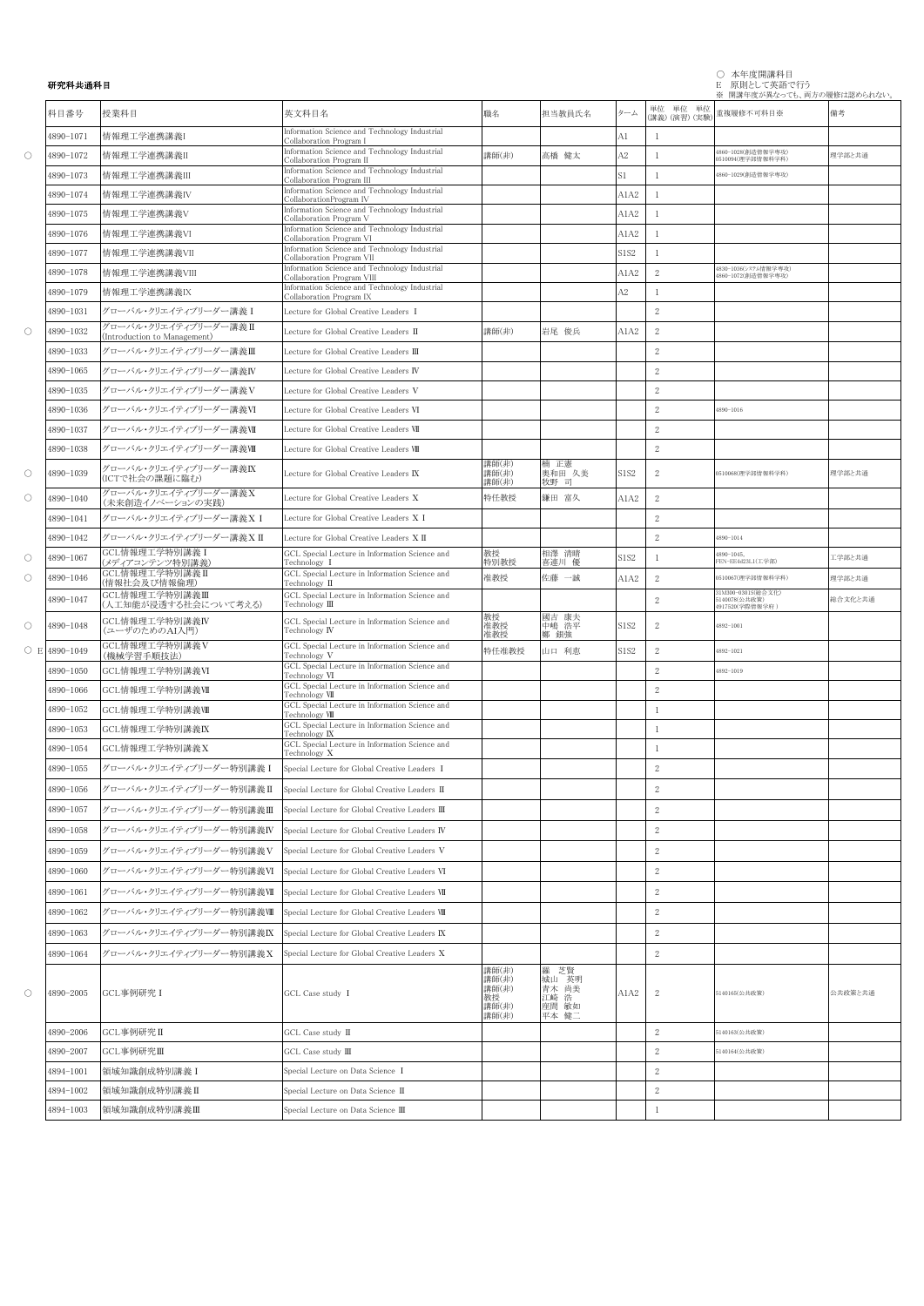|            |           |                                                      |                                                                                                     |                                                 |                                                  |                  |                            | ※ 開講年度が異なっても、両方の履修は認められない。                             |         |
|------------|-----------|------------------------------------------------------|-----------------------------------------------------------------------------------------------------|-------------------------------------------------|--------------------------------------------------|------------------|----------------------------|--------------------------------------------------------|---------|
|            | 科目番号      | 授業科目                                                 | 英文科目名                                                                                               | 職名                                              | 担当教員氏名                                           | ターム              | 単位 単位 単位<br>(講義) (演習) (実験) | 重複履修不可科目※                                              | 備考      |
|            | 4890-1071 | 情報理工学連携講義I                                           | Information Science and Technology Industrial<br>Collaboration Program I                            |                                                 |                                                  | A1               | -1                         |                                                        |         |
| $\circ$    | 4890-1072 | 情報理工学連携講義II                                          | Information Science and Technology Industrial<br>Collaboration Program II                           | 講師(非)                                           | 高橋 健太                                            | A2               | 1                          | 1860-1028(創造情報学専攻)<br>0510094(理学部情報科学科)                | 理学部と共通  |
|            | 4890-1073 | 情報理工学連携講義III                                         | Information Science and Technology Industrial<br>Collaboration Program III                          |                                                 |                                                  | S1               | -1                         | 4860-1029(創造情報学専攻)                                     |         |
|            | 4890-1074 | 情報理工学連携講義IV                                          | Information Science and Technology Industrial                                                       |                                                 |                                                  | A1A2             | $\mathbf{1}$               |                                                        |         |
|            | 4890-1075 | 情報理工学連携講義V                                           | CollaborationProgram IV<br>Information Science and Technology Industrial<br>Collaboration Program V |                                                 |                                                  | A1A2             | -1                         |                                                        |         |
|            | 4890-1076 | 情報理工学連携講義VI                                          | Information Science and Technology Industrial<br>Collaboration Program VI                           |                                                 |                                                  | A1A2             | 1                          |                                                        |         |
|            | 4890-1077 | 情報理工学連携講義VII                                         | Information Science and Technology Industrial<br>Collaboration Program VII                          |                                                 |                                                  | S1S2             | -1                         |                                                        |         |
|            | 4890-1078 | 情報理工学連携講義VIII                                        | Information Science and Technology Industrial<br>Collaboration Program VIII                         |                                                 |                                                  | A1A2             | $\sqrt{2}$                 | 4830-1036(システム情報学専攻)<br>1860-1072(創造情報学専攻)             |         |
|            | 4890-1079 | 情報理工学連携講義IX                                          | Information Science and Technology Industrial<br>Collaboration Program IX                           |                                                 |                                                  | A2               | 1                          |                                                        |         |
|            | 4890-1031 | グローバル・クリエイティブリーダー講義 I                                | Lecture for Global Creative Leaders I                                                               |                                                 |                                                  |                  | 2                          |                                                        |         |
| $\circ$    | 4890-1032 | グローバル・クリエイティブリーダー講義I<br>(Introduction to Management) | ecture for Global Creative Leaders II                                                               | 講師(非)                                           | 岩尾 俊兵                                            | A1A2             | $\sqrt{2}$                 |                                                        |         |
|            | 4890-1033 | グローバル・クリエイティブリーダー講義Ⅲ                                 | Lecture for Global Creative Leaders III                                                             |                                                 |                                                  |                  | $\sqrt{2}$                 |                                                        |         |
|            | 4890-1065 | グローバル・クリエイティブリーダー講義IV                                | Lecture for Global Creative Leaders IV                                                              |                                                 |                                                  |                  | $\mathbf{2}$               |                                                        |         |
|            | 4890-1035 | グローバル・クリエイティブリーダー講義V                                 | Lecture for Global Creative Leaders V                                                               |                                                 |                                                  |                  | 2                          |                                                        |         |
|            | 4890-1036 | グローバル・クリエイティブリーダー講義VI                                | Lecture for Global Creative Leaders VI                                                              |                                                 |                                                  |                  | 2                          | 4890-1016                                              |         |
|            | 4890-1037 | グローバル・クリエイティブリーダー講義VI                                | Lecture for Global Creative Leaders VII                                                             |                                                 |                                                  |                  | 2                          |                                                        |         |
|            | 4890-1038 | グローバル・クリエイティブリーダー講義VII                               | Lecture for Global Creative Leaders VIII                                                            |                                                 |                                                  |                  | 2                          |                                                        |         |
| $\circ$    | 4890-1039 | グローバル・クリエイティブリーダー講義IX<br>(ICTで社会の課題に臨む)              | Lecture for Global Creative Leaders IX                                                              | 講師(非)<br>講師(非)<br>講師(非)                         | 楠 正憲<br>奥和田 久美<br>牧野 司                           | S1S2             | 2                          | 0510068(理学部情報科学科)                                      | 理学部と共通  |
| $\circ$    | 4890-1040 | グローバル・クリエイティブリーダー講義X<br>(未来創造イノベーションの実践)             | Lecture for Global Creative Leaders X                                                               | 特任教授                                            | 鎌田 富久                                            | A1A2             | 2                          |                                                        |         |
|            | 4890-1041 | グローバル・クリエイティブリーダー講義XI                                | Lecture for Global Creative Leaders X I                                                             |                                                 |                                                  |                  | 2                          |                                                        |         |
|            | 4890-1042 | グローバル・クリエイティブリーダー講義XI                                | Lecture for Global Creative Leaders $X \, \Pi$                                                      |                                                 |                                                  |                  | 2                          | $1890 - 1014$                                          |         |
| $\circ$    | 4890-1067 | GCL情報理工学特別講義 I<br>(メディアコンテンツ特別講義)                    | GCL Special Lecture in Information Science and<br>Technology I                                      | 教授<br>特別教授                                      | 相澤 清晴<br>喜連川 優                                   | S1S2             | -1                         | $4890 - 1045$ ,<br>FEN-EE4d23L1(工学部)                   | 工学部と共通  |
| О          | 4890-1046 | GCL情報理工学特別講義 II<br>(情報社会及び情報倫理)                      | GCL Special Lecture in Information Science and<br>Technology II                                     | 准教授                                             | 佐藤 一誠                                            | A1A2             | $\sqrt{2}$                 | 0510067(理学部情報科学科)                                      | 理学部と共通  |
|            | 4890-1047 | GCL情報理工学特別講義Ⅲ<br>(人工知能が浸透する社会について考える)                | GCL Special Lecture in Information Science and<br>Technology III                                    |                                                 |                                                  |                  | 2                          | 31M300-0301S(総合文化)<br>5140078(公共政策)<br>4917520(学際情報学府) | 総合文化と共通 |
| $\circ$    | 4890-1048 | GCL情報理工学特別講義IV<br>(ユーザのためのAI入門)                      | GCL Special Lecture in Information Science and<br>Technology IV                                     | 教授<br>准教授<br>准教授                                | 國吉 康夫<br>中嶋 浩平<br>鄭 銀強                           | S1S <sub>2</sub> | 2                          | 4892-1001                                              |         |
| $\circ$ E  | 4890-1049 | GCL情報理工学特別講義V<br>(機械学習手順技法)                          | GCL Special Lecture in Information Science and<br>Technology V                                      | 特任准教授                                           | 山口 利恵                                            | <b>S1S2</b>      | 2                          | 4892-1021                                              |         |
|            | 4890-1050 | GCL情報理工学特別講義VI                                       | GCL Special Lecture in Information Science and<br>Technology VI                                     |                                                 |                                                  |                  | $\sqrt{2}$                 | 4892-1019                                              |         |
|            | 4890-1066 | GCL情報理工学特別講義VII                                      | GCL Special Lecture in Information Science and<br>Technology VII                                    |                                                 |                                                  |                  | 2                          |                                                        |         |
|            | 4890-1052 | GCL情報理工学特別講義VII                                      | GCL Special Lecture in Information Science and<br>Technology VIII                                   |                                                 |                                                  |                  | 1                          |                                                        |         |
|            | 4890-1053 | GCL情報理工学特別講義IX                                       | GCL Special Lecture in Information Science and<br>Technology IX                                     |                                                 |                                                  |                  | 1                          |                                                        |         |
|            | 4890-1054 | GCL情報理工学特別講義X                                        | GCL Special Lecture in Information Science and<br>Technology X                                      |                                                 |                                                  |                  | $\mathbf{1}$               |                                                        |         |
|            | 4890-1055 | グローバル·クリエイティブリーダー特別講義 I                              | Special Lecture for Global Creative Leaders I                                                       |                                                 |                                                  |                  | 2                          |                                                        |         |
|            | 4890-1056 | グローバル・クリエイティブリーダー特別講義Ⅱ                               | Special Lecture for Global Creative Leaders II                                                      |                                                 |                                                  |                  | $\sqrt{2}$                 |                                                        |         |
|            | 4890-1057 | グローバル・クリエイティブリーダー特別講義Ⅲ                               | Special Lecture for Global Creative Leaders III                                                     |                                                 |                                                  |                  | $\mathbf{2}$               |                                                        |         |
|            | 4890-1058 | グローバル・クリエイティブリーダー特別講義IV                              | Special Lecture for Global Creative Leaders IV                                                      |                                                 |                                                  |                  | 2                          |                                                        |         |
|            | 4890-1059 | グローバル·クリエイティブリーダー特別講義V                               | Special Lecture for Global Creative Leaders V                                                       |                                                 |                                                  |                  | 2                          |                                                        |         |
|            | 4890-1060 | グローバル・クリエイティブリーダー特別講義VI                              | Special Lecture for Global Creative Leaders VI                                                      |                                                 |                                                  |                  | $\mathbf{2}$               |                                                        |         |
|            | 4890-1061 | グローバル・クリエイティブリーダー特別講義VI                              | Special Lecture for Global Creative Leaders VII                                                     |                                                 |                                                  |                  | $\sqrt{2}$                 |                                                        |         |
|            | 4890-1062 | グローバル・クリエイティブリーダー特別講義Ⅷ                               | Special Lecture for Global Creative Leaders VIII                                                    |                                                 |                                                  |                  | 2                          |                                                        |         |
|            | 4890-1063 | グローバル・クリエイティブリーダー特別講義IX                              | Special Lecture for Global Creative Leaders IX                                                      |                                                 |                                                  |                  | 2                          |                                                        |         |
|            | 4890-1064 | グローバル・クリエイティブリーダー特別講義X                               | Special Lecture for Global Creative Leaders X                                                       |                                                 |                                                  |                  | 2                          |                                                        |         |
| $\bigcirc$ | 4890-2005 | GCL事例研究 I                                            | GCL Case study I                                                                                    | 講師(非)<br>講師(非)<br>講師(非)<br>教授<br>講師(非)<br>講師(非) | 羅 芝賢<br>城山 英明<br>青木 尚美<br>江崎 浩<br>座間 敏如<br>平本 健二 | A1A2             | $\mathbf{2}$               | 5140165(公共政策)                                          | 公共政策と共通 |
|            | 4890-2006 | GCL事例研究 II                                           | GCL Case study II                                                                                   |                                                 |                                                  |                  | 2                          | 5140163(公共政策)                                          |         |
|            | 4890-2007 | GCL事例研究Ⅲ                                             | GCL Case study III                                                                                  |                                                 |                                                  |                  | 2                          | 5140164(公共政策)                                          |         |
|            | 4894-1001 | 領域知識創成特別講義 I                                         | Special Lecture on Data Science I                                                                   |                                                 |                                                  |                  | 2                          |                                                        |         |
|            | 4894-1002 | 領域知識創成特別講義Ⅱ                                          | Special Lecture on Data Science II                                                                  |                                                 |                                                  |                  | $\mathbf{2}$               |                                                        |         |
|            | 4894-1003 | 領域知識創成特別講義Ⅲ                                          | Special Lecture on Data Science III                                                                 |                                                 |                                                  |                  | $\mathbf{1}$               |                                                        |         |